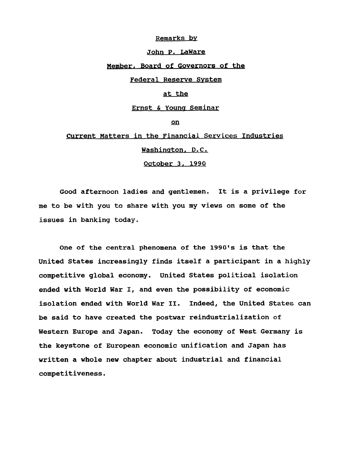#### Remarks by

# John P. LaWare

## Member. Board of Governors of the

## Federal Reserve System

# at the

### Ernst & Young Seminar

## on

# Current Matters in the Financial Services Industries Washington. D.C.

October 3. 1990

Good afternoon ladies and gentlemen. It is a privilege for me to be with you to share with you my views on some of the issues in banking today.

One of the central phenomena of the 1990's is that the United States increasingly finds itself a participant in a highly competitive global economy. United States political isolation ended with World War I, and even the possibility of economic isolation ended with World War II. Indeed, the United States can be said to have created the postwar reindustrialization of Western Europe and Japan. Today the economy of West Germany is the keystone of European economic unification and Japan has written a whole new chapter about industrial and financial competitiveness.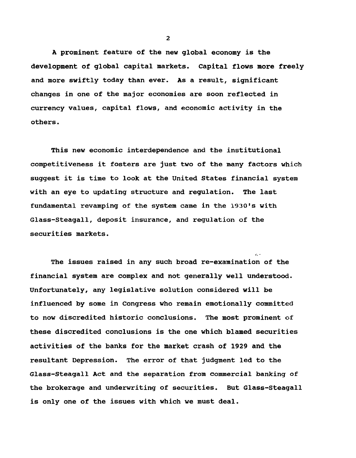A prominent feature of the new global economy is the development of global capital markets. Capital flows more freely and more swiftly today than ever. As a result, significant changes in one of the major economies are soon reflected in currency values, capital flows, and economic activity in the others.

This new economic interdependence and the institutional competitiveness it fosters are just two of the many factors which suggest it is time to look at the United States financial system with an eye to updating structure and regulation. The last fundamental revamping of the system came in the 1930's with Glass-Steagall, deposit insurance, and regulation of the securities markets.

*<,* -

The issues raised in any such broad re-examination of the financial system are complex and not generally well understood. Unfortunately, any legislative solution considered will be influenced by some in Congress who remain emotionally committed to now discredited historic conclusions. The most prominent of these discredited conclusions is the one which blamed securities activities of the banks for the market crash of 1929 and the resultant Depression. The error of that judgment led to the Glass-Steagall Act and the separation from commercial banking of the brokerage and underwriting of securities. But Glass-Steagall is only one of the issues with which we must deal.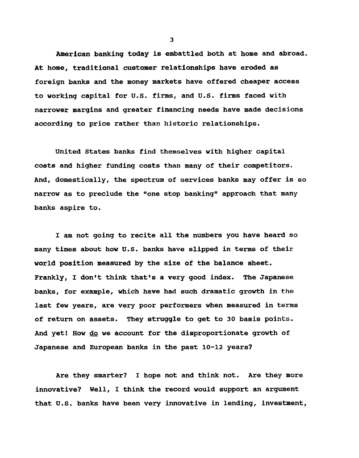American banking today is embattled both at home and abroad. At home, traditional customer relationships have eroded as foreign banks and the money markets have offered cheaper access to working capital for U.S. firms, and U.S. firms faced with narrower margins and greater financing needs have made decisions according to price rather than historic relationships.

United States banks find themselves with higher capital costs and higher funding costs than many of their competitors. And, domestically, the spectrum of services banks may offer is so narrow as to preclude the "one stop banking" approach that many banks aspire to.

I am not going to recite all the numbers you have heard so many times about how U.S. banks have slipped in terms of their world position measured by the size of the balance sheet. Frankly, I don't think that's a very good index. The Japanese banks, for example, which have had such dramatic growth in the last few years, are very poor performers when measured in terms of return on assets. They struggle to get to 30 basis points. And yet! How do we account for the disproportionate growth of Japanese and European banks in the past 10-12 years?

Are they smarter? I hope not and think not. Are they more innovative? Well, I think the record would support an argument that U.S. banks have been very innovative in lending, investment,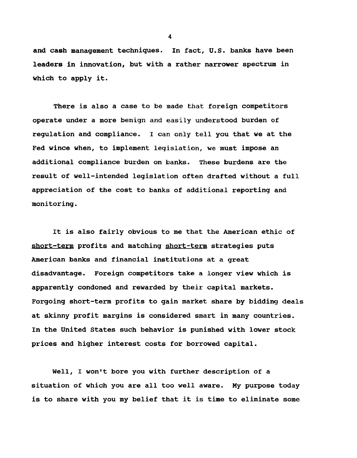and cash management techniques. In fact, U.S. banks have been leaders in innovation, but with a rather narrower spectrum in which to apply it.

There is also a case to be made that foreign competitors operate under a more benign and easily understood burden of regulation and compliance. I can only tell you that we at the Fed wince when, to implement legislation, we must impose an additional compliance burden on banks. These burdens are the result of well-intended legislation often drafted without a full appreciation of the cost to banks of additional reporting and monitoring.

It is also fairly obvious to me that the American ethic of short-term profits and matching short-term strategies puts American banks and financial institutions at a great disadvantage. Foreign competitors take a longer view which is apparently condoned and rewarded by their capital markets. Forgoing short-term profits to gain market share by bidding deals at skinny profit margins is considered smart in many countries. In the United States such behavior is punished with lower stock prices and higher interest costs for borrowed capital.

Well, I won't bore you with further description of a situation of which you are all too well aware. My purpose today is to share with you my belief that it is time to eliminate some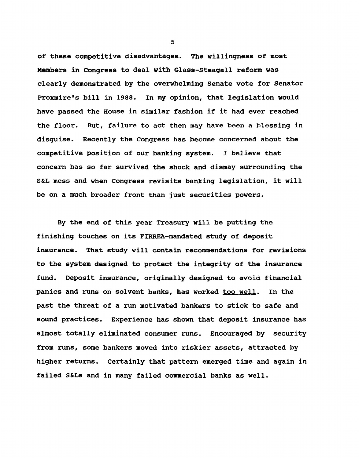of these competitive disadvantages. The willingness of most Members in Congress to deal with Glass-Steagall reform was clearly demonstrated by the overwhelming Senate vote for Senator Proxmire's bill in 1988. In my opinion, that legislation would have passed the House in similar fashion if it had ever reached the floor. But, failure to act then may have been a blessing in disguise. Recently the Congress has become concerned about the competitive position of our banking system. I believe that concern has so far survived the shock and dismay surrounding the S&L mess and when Congress revisits banking legislation, it will be on a much broader front than just securities powers.

By the end of this year Treasury will be putting the finishing touches on its FIRREA-mandated study of deposit insurance. That study will contain recommendations for revisions to the system designed to protect the integrity of the insurance fund. Deposit insurance, originally designed to avoid financial panics and runs on solvent banks, has worked too well. In the past the threat of a run motivated bankers to stick to safe and sound practices. Experience has shown that deposit insurance has almost totally eliminated consumer runs. Encouraged by security from runs, some bankers moved into riskier assets, attracted by higher returns. Certainly that pattern emerged time and again in failed S&Ls and in many failed commercial banks as well.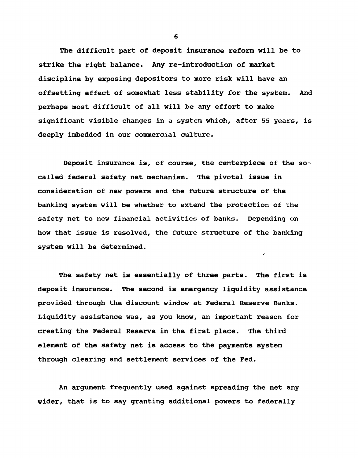The difficult part of deposit insurance reform will be to strike the right balance. Any re-introduction of market discipline by exposing depositors to more risk will have an offsetting effect of somewhat less stability for the system. And perhaps most difficult of all will be any effort to make significant visible changes in a system which, after 55 years, is deeply imbedded in our commercial culture.

Deposit insurance is, of course, the centerpiece of the socalled federal safety net mechanism. The pivotal issue in consideration of new powers and the future structure of the banking system will be whether to extend the protection of the safety net to new financial activities of banks. Depending on how that issue is resolved, the future structure of the banking system will be determined.

v -

The safety net is essentially of three parts. The first is deposit insurance. The second is emergency liquidity assistance provided through the discount window at Federal Reserve Banks. Liquidity assistance was, as you know, an important reason for creating the Federal Reserve in the first place. The third element of the safety net is access to the payments system through clearing and settlement services of the Fed.

An argument frequently used against spreading the net any wider, that is to say granting additional powers to federally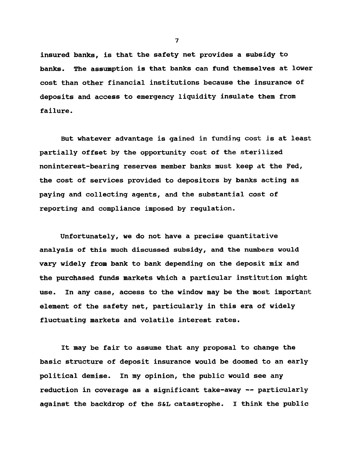insured banks, is that the safety net provides a subsidy to banks. The assumption is that banks can fund themselves at lower cost than other financial institutions because the insurance of deposits and access to emergency liquidity insulate them from failure.

But whatever advantage is gained in funding cost is at least partially offset by the opportunity cost of the sterilized noninterest-bearing reserves member banks must keep at the Fed, the cost of services provided to depositors by banks acting as paying and collecting agents, and the substantial cost of reporting and compliance imposed by regulation.

Unfortunately, we do not have a precise quantitative analysis of this much discussed subsidy, and the numbers would vary widely from bank to bank depending on the deposit mix and the purchased funds markets which a particular institution might use. In any case, access to the window may be the most important element of the safety net, particularly in this era of widely fluctuating markets and volatile interest rates.

It may be fair to assume that any proposal to change the basic structure of deposit insurance would be doomed to an early political demise. In my opinion, the public would see any reduction in coverage as a significant take-away -- particularly against the backdrop of the S&L catastrophe. I think the public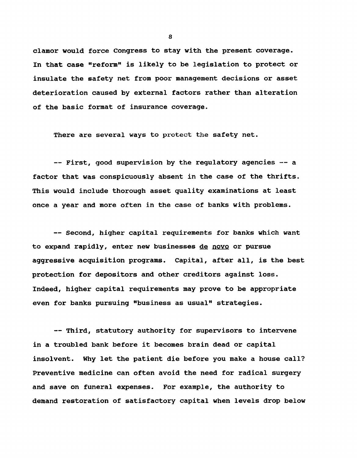clamor would force Congress to stay with the present coverage. In that case "reform" is likely to be legislation to protect or insulate the safety net from poor management decisions or asset deterioration caused by external factors rather than alteration of the basic format of insurance coverage.

There are several ways to protect the safety net.

— First, good supervision by the regulatory agencies -— a factor that was conspicuously absent in the case of the thrifts. This would include thorough asset quality examinations at least once a year and more often in the case of banks with problems.

— Second, higher capital requirements for banks which want to expand rapidly, enter new businesses de novo or pursue aggressive acquisition programs. Capital, after all, is the best protection for depositors and other creditors against loss. Indeed, higher capital requirements may prove to be appropriate even for banks pursuing "business as usual" strategies.

— Third, statutory authority for supervisors to intervene in a troubled bank before it becomes brain dead or capital insolvent. Why let the patient die before you make a house call? Preventive medicine can often avoid the need for radical surgery and save on funeral expenses. For example, the authority to demand restoration of satisfactory capital when levels drop below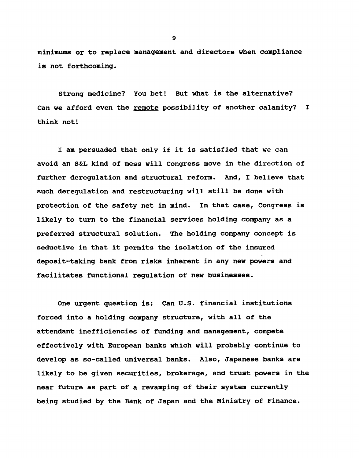minimums or to replace management and directors when compliance is not forthcoming.

Strong medicine? You bet! But what is the alternative? Can we afford even the remote possibility of another calamity? I think not!

I am persuaded that only if it is satisfied that we can avoid an S&L kind of mess will Congress move in the direction of further deregulation and structural reform. And, I believe that such deregulation and restructuring will still be done with protection of the safety net in mind. In that case, Congress is likely to turn to the financial services holding company as a preferred structural solution. The holding company concept is seductive in that it permits the isolation of the insured deposit-taking bank from risks inherent in any new powers and facilitates functional regulation of new businesses.

One urgent question is: Can U.S. financial institutions forced into a holding company structure, with all of the attendant inefficiencies of funding and management, compete effectively with European banks which will probably continue to develop as so-called universal banks. Also, Japanese banks are likely to be given securities, brokerage, and trust powers in the near future as part of a revamping of their system currently being studied by the Bank of Japan and the Ministry of Finance.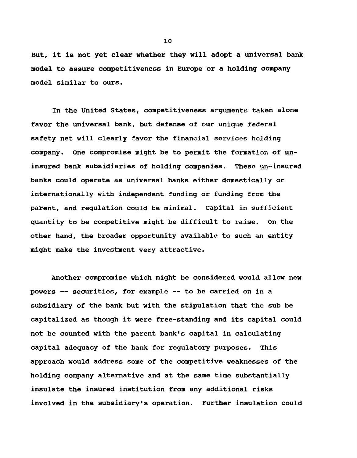But, it is not yet clear whether they will adopt a universal bank model to assure competitiveness in Europe or a holding company model similar to ours.

In the United States, competitiveness arguments taken alone favor the universal bank, but defense of our unique federal safety net will clearly favor the financial services holding company. One compromise might be to permit the formation of uninsured bank subsidiaries of holding companies. These un-insured banks could operate as universal banks either domestically or internationally with independent funding or funding from the parent, and regulation could be minimal. Capital in sufficient quantity to be competitive might be difficult to raise. On the other hand, the broader opportunity available to such an entity might make the investment very attractive.

Another compromise which might be considered would allow new powers — securities, for example — to be carried on in a subsidiary of the bank but with the stipulation that the sub be capitalized as though it were free-standing and its capital could not be counted with the parent bank's capital in calculating capital adequacy of the bank for regulatory purposes. This approach would address some of the competitive weaknesses of the holding company alternative and at the same time substantially insulate the insured institution from any additional risks involved in the subsidiary's operation. Further insulation could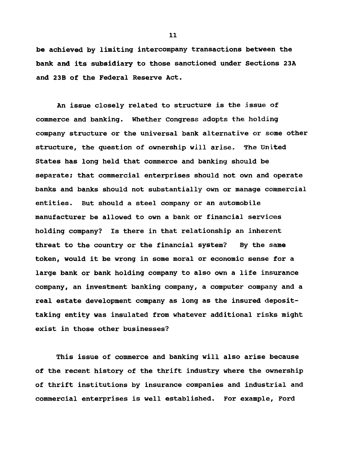be achieved by limiting intercompany transactions between the bank and its subsidiary to those sanctioned under Sections 23A and 23B of the Federal Reserve Act.

An issue closely related to structure is the jssue of commerce and banking. Whether Congress adopts the holding company structure or the universal bank alternative or some other structure, the question of ownership will arise. The United States has long held that commerce and banking should be separate; that commercial enterprises should not own and operate banks and banks should not substantially own or manage commercial entities. But should a steel company or an automobile manufacturer be allowed to own a bank or financial services holding company? Is there in that relationship an inherent threat to the country or the financial system? By the same token, would it be wrong in some moral or economic sense for a large bank or bank holding company to also own a life insurance company, an investment banking company, a computer company and a real estate development company as long as the insured deposittaking entity was insulated from whatever additional risks might exist in those other businesses?

This issue of commerce and banking will also arise because of the recent history of the thrift industry where the ownership of thrift institutions by insurance companies and industrial and commercial enterprises is well established. For example, Ford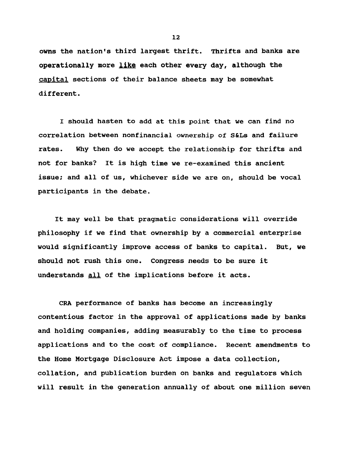owns the nation's third largest thrift. Thrifts and banks are operationally more like each other every day, although the capital sections of their balance sheets may be somewhat different.

I should hasten to add at this point that we can find no correlation between nonfinancial ownership of S&Ls and failure rates. Why then do we accept the relationship for thrifts and not for banks? It is high time we re-examined this ancient issue; and all of us, whichever side we are on, should be vocal participants in the debate.

It may well be that pragmatic considerations will override philosophy if we find that ownership by a commercial enterprise would significantly improve access of banks to capital. But, we should not rush this one. Congress needs to be sure it understands all of the implications before it acts.

CRA performance of banks has become an increasingly contentious factor in the approval of applications made by banks and holding companies, adding measurably to the time to process applications and to the cost of compliance. Recent amendments to the Home Mortgage Disclosure Act impose a data collection, collation, and publication burden on banks and regulators which will result in the generation annually of about one million seven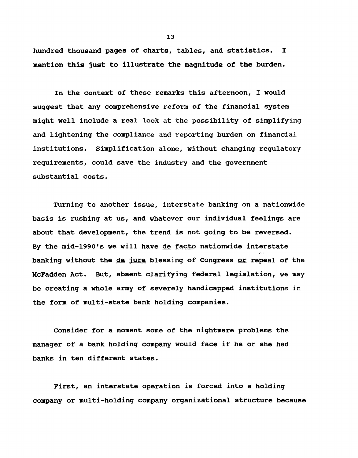hundred thousand pages of charts, tables, and statistics. I mention this just to illustrate the magnitude of the burden.

In the context of these remarks this afternoon, I would suggest that any comprehensive reform of the financial system might well include a real look at the possibility of simplifying and lightening the compliance and reporting burden on financial institutions. Simplification alone, without changing regulatory reguirements, could save the industry and the government substantial costs.

Turning to another issue, interstate banking on a nationwide basis is rushing at us, and whatever our individual feelings are about that development, the trend is not going to be reversed. By the mid-1990's we will have de facto nationwide interstate banking without the de jure blessing of Congress or repeal of the McFadden Act. But, absent clarifying federal legislation, we may be creating a whole army of severely handicapped institutions in the form of multi-state bank holding companies.

Consider for a moment some of the nightmare problems the manager of a bank holding company would face if he or she had banks in ten different states.

First, an interstate operation is forced into a holding company or multi-holding company organizational structure because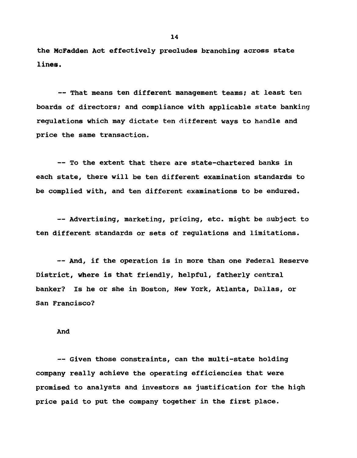the McFadden Act effectively precludes branching across state lines.

— That means ten different management teams; at least ten boards of directors; and compliance with applicable state banking regulations which may dictate ten different ways to handle and price the same transaction.

— To the extent that there are state-chartered banks in each state, there will be ten different examination standards to be complied with, and ten different examinations to be endured.

— Advertising, marketing, pricing, etc. might be subject to ten different standards or sets of regulations and limitations.

— And, if the operation is in more than one Federal Reserve District, where is that friendly, helpful, fatherly central banker? Is he or she in Boston, New York, Atlanta, Dallas, or San Francisco?

#### And

— Given those constraints, can the multi-state holding company really achieve the operating efficiencies that were promised to analysts and investors as justification for the high price paid to put the company together in the first place.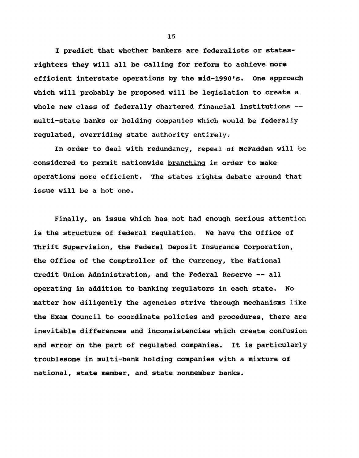I predict that whether bankers are federalists or statesrighters they will all be calling for reform to achieve more efficient interstate operations by the mid-1990's. One approach which will probably be proposed will be legislation to create a whole new class of federally chartered financial institutions -multi-state banks or holding companies which would be federally regulated, overriding state authority entirely.

In order to deal with redundancy, repeal of McFadden will be considered to permit nationwide branching in order to make operations more efficient. The states rights debate around that issue will be a hot one.

Finally, an issue which has not had enough serious attention is the structure of federal regulation. We have the Office of Thrift Supervision, the Federal Deposit Insurance Corporation, the Office of the Comptroller of the Currency, the National Credit Union Administration, and the Federal Reserve — all operating in addition to banking regulators in each state. No matter how diligently the agencies strive through mechanisms like the Exam Council to coordinate policies and procedures, there are inevitable differences and inconsistencies which create confusion and error on the part of regulated companies. It is particularly troublesome in multi-bank holding companies with a mixture of national, state member, and state nonmember banks.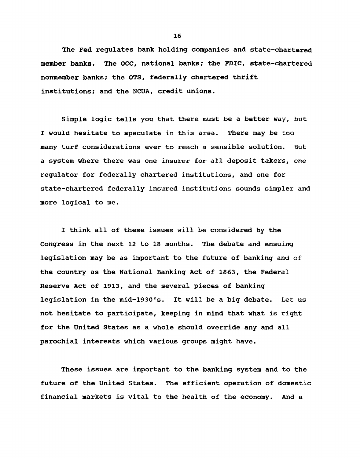The Fed regulates bank holding companies and state-chartered member banks. The OCC, national banks; the FDIC, state-chartered nonmember banks; the OTS, federally chartered thrift institutions; and the NCUA, credit unions.

Simple logic tells you that there must be a better way, but I would hesitate to speculate in this area. There may be too many turf considerations ever to reach a sensible solution. But a system where there was one insurer for all deposit takers, one regulator for federally chartered institutions, and one for state-chartered federally insured institutions sounds simpler and more logical to me.

I think all of these issues will be considered by the Congress in the next 12 to 18 months. The debate and ensuing legislation may be as important to the future of banking and of the country as the National Banking Act of 1863, the Federal Reserve Act of 1913, and the several pieces of banking legislation in the mid-1930's. It will be a big debate. Let us not hesitate to participate, keeping in mind that what is right for the United States as a whole should override any and all parochial interests which various groups might have.

These issues are important to the banking system and to the future of the United States. The efficient operation of domestic financial markets is vital to the health of the economy. And a